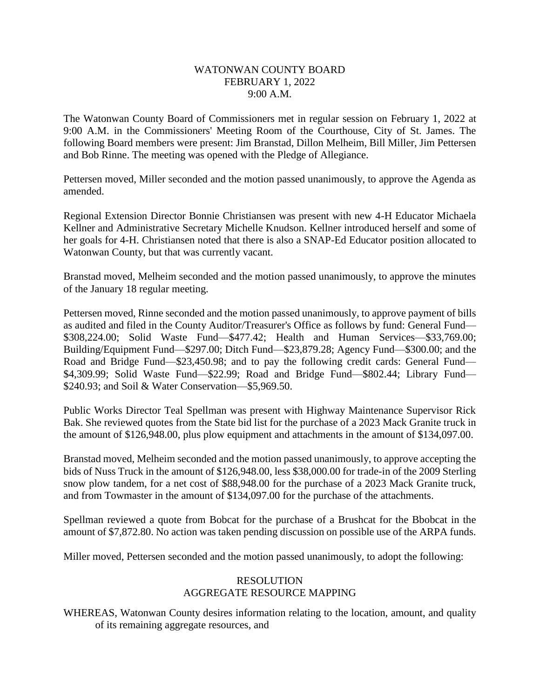## WATONWAN COUNTY BOARD FEBRUARY 1, 2022 9:00 A.M.

The Watonwan County Board of Commissioners met in regular session on February 1, 2022 at 9:00 A.M. in the Commissioners' Meeting Room of the Courthouse, City of St. James. The following Board members were present: Jim Branstad, Dillon Melheim, Bill Miller, Jim Pettersen and Bob Rinne. The meeting was opened with the Pledge of Allegiance.

Pettersen moved, Miller seconded and the motion passed unanimously, to approve the Agenda as amended.

Regional Extension Director Bonnie Christiansen was present with new 4-H Educator Michaela Kellner and Administrative Secretary Michelle Knudson. Kellner introduced herself and some of her goals for 4-H. Christiansen noted that there is also a SNAP-Ed Educator position allocated to Watonwan County, but that was currently vacant.

Branstad moved, Melheim seconded and the motion passed unanimously, to approve the minutes of the January 18 regular meeting.

Pettersen moved, Rinne seconded and the motion passed unanimously, to approve payment of bills as audited and filed in the County Auditor/Treasurer's Office as follows by fund: General Fund— \$308,224.00; Solid Waste Fund—\$477.42; Health and Human Services—\$33,769.00; Building/Equipment Fund—\$297.00; Ditch Fund—\$23,879.28; Agency Fund—\$300.00; and the Road and Bridge Fund—\$23,450.98; and to pay the following credit cards: General Fund— \$4,309.99; Solid Waste Fund—\$22.99; Road and Bridge Fund—\$802.44; Library Fund— \$240.93; and Soil & Water Conservation—\$5,969.50.

Public Works Director Teal Spellman was present with Highway Maintenance Supervisor Rick Bak. She reviewed quotes from the State bid list for the purchase of a 2023 Mack Granite truck in the amount of \$126,948.00, plus plow equipment and attachments in the amount of \$134,097.00.

Branstad moved, Melheim seconded and the motion passed unanimously, to approve accepting the bids of Nuss Truck in the amount of \$126,948.00, less \$38,000.00 for trade-in of the 2009 Sterling snow plow tandem, for a net cost of \$88,948.00 for the purchase of a 2023 Mack Granite truck, and from Towmaster in the amount of \$134,097.00 for the purchase of the attachments.

Spellman reviewed a quote from Bobcat for the purchase of a Brushcat for the Bbobcat in the amount of \$7,872.80. No action was taken pending discussion on possible use of the ARPA funds.

Miller moved, Pettersen seconded and the motion passed unanimously, to adopt the following:

## RESOLUTION AGGREGATE RESOURCE MAPPING

WHEREAS, Watonwan County desires information relating to the location, amount, and quality of its remaining aggregate resources, and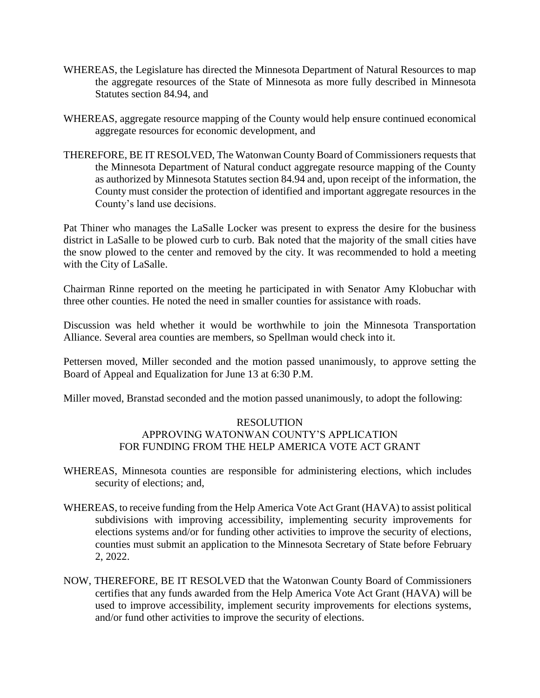- WHEREAS, the Legislature has directed the Minnesota Department of Natural Resources to map the aggregate resources of the State of Minnesota as more fully described in Minnesota Statutes section 84.94, and
- WHEREAS, aggregate resource mapping of the County would help ensure continued economical aggregate resources for economic development, and
- THEREFORE, BE IT RESOLVED, The Watonwan County Board of Commissioners requests that the Minnesota Department of Natural conduct aggregate resource mapping of the County as authorized by Minnesota Statutes section 84.94 and, upon receipt of the information, the County must consider the protection of identified and important aggregate resources in the County's land use decisions.

Pat Thiner who manages the LaSalle Locker was present to express the desire for the business district in LaSalle to be plowed curb to curb. Bak noted that the majority of the small cities have the snow plowed to the center and removed by the city. It was recommended to hold a meeting with the City of LaSalle.

Chairman Rinne reported on the meeting he participated in with Senator Amy Klobuchar with three other counties. He noted the need in smaller counties for assistance with roads.

Discussion was held whether it would be worthwhile to join the Minnesota Transportation Alliance. Several area counties are members, so Spellman would check into it.

Pettersen moved, Miller seconded and the motion passed unanimously, to approve setting the Board of Appeal and Equalization for June 13 at 6:30 P.M.

Miller moved, Branstad seconded and the motion passed unanimously, to adopt the following:

## RESOLUTION APPROVING WATONWAN COUNTY'S APPLICATION FOR FUNDING FROM THE HELP AMERICA VOTE ACT GRANT

- WHEREAS, Minnesota counties are responsible for administering elections, which includes security of elections; and,
- WHEREAS, to receive funding from the Help America Vote Act Grant (HAVA) to assist political subdivisions with improving accessibility, implementing security improvements for elections systems and/or for funding other activities to improve the security of elections, counties must submit an application to the Minnesota Secretary of State before February 2, 2022.
- NOW, THEREFORE, BE IT RESOLVED that the Watonwan County Board of Commissioners certifies that any funds awarded from the Help America Vote Act Grant (HAVA) will be used to improve accessibility, implement security improvements for elections systems, and/or fund other activities to improve the security of elections.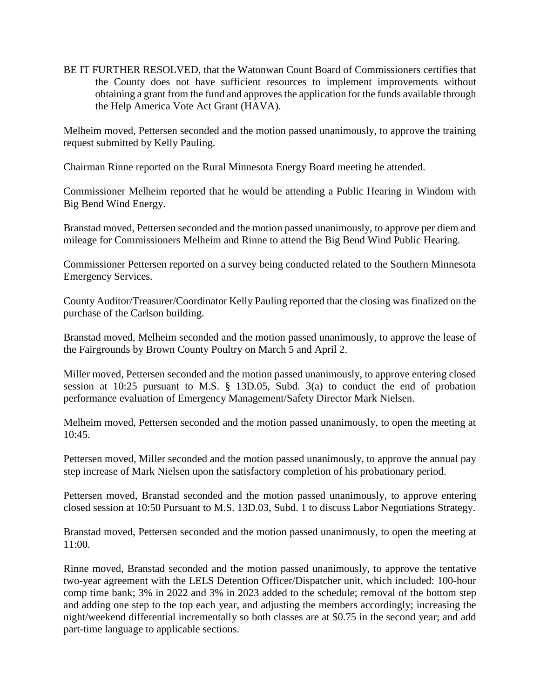BE IT FURTHER RESOLVED, that the Watonwan Count Board of Commissioners certifies that the County does not have sufficient resources to implement improvements without obtaining a grant from the fund and approves the application for the funds available through the Help America Vote Act Grant (HAVA).

Melheim moved, Pettersen seconded and the motion passed unanimously, to approve the training request submitted by Kelly Pauling.

Chairman Rinne reported on the Rural Minnesota Energy Board meeting he attended.

Commissioner Melheim reported that he would be attending a Public Hearing in Windom with Big Bend Wind Energy.

Branstad moved, Pettersen seconded and the motion passed unanimously, to approve per diem and mileage for Commissioners Melheim and Rinne to attend the Big Bend Wind Public Hearing.

Commissioner Pettersen reported on a survey being conducted related to the Southern Minnesota Emergency Services.

County Auditor/Treasurer/Coordinator Kelly Pauling reported that the closing was finalized on the purchase of the Carlson building.

Branstad moved, Melheim seconded and the motion passed unanimously, to approve the lease of the Fairgrounds by Brown County Poultry on March 5 and April 2.

Miller moved, Pettersen seconded and the motion passed unanimously, to approve entering closed session at 10:25 pursuant to M.S. § 13D.05, Subd. 3(a) to conduct the end of probation performance evaluation of Emergency Management/Safety Director Mark Nielsen.

Melheim moved, Pettersen seconded and the motion passed unanimously, to open the meeting at 10:45.

Pettersen moved, Miller seconded and the motion passed unanimously, to approve the annual pay step increase of Mark Nielsen upon the satisfactory completion of his probationary period.

Pettersen moved, Branstad seconded and the motion passed unanimously, to approve entering closed session at 10:50 Pursuant to M.S. 13D.03, Subd. 1 to discuss Labor Negotiations Strategy.

Branstad moved, Pettersen seconded and the motion passed unanimously, to open the meeting at 11:00.

Rinne moved, Branstad seconded and the motion passed unanimously, to approve the tentative two-year agreement with the LELS Detention Officer/Dispatcher unit, which included: 100-hour comp time bank; 3% in 2022 and 3% in 2023 added to the schedule; removal of the bottom step and adding one step to the top each year, and adjusting the members accordingly; increasing the night/weekend differential incrementally so both classes are at \$0.75 in the second year; and add part-time language to applicable sections.